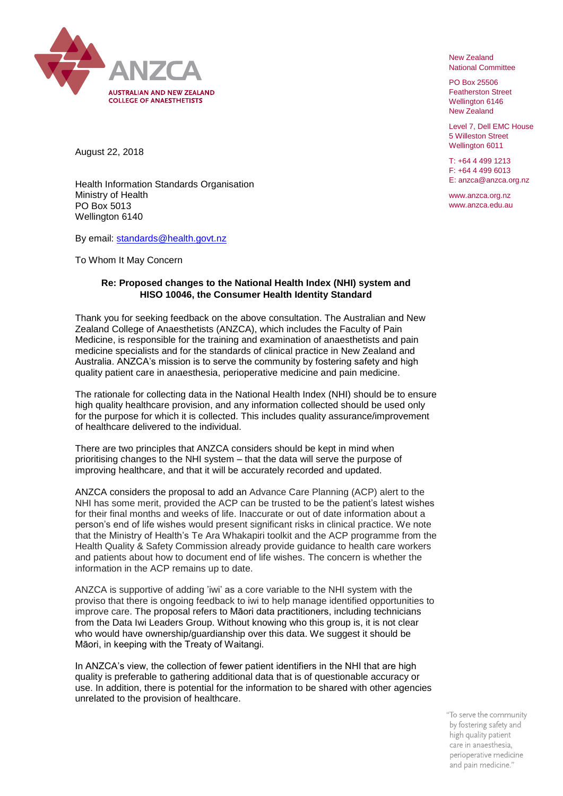

New Zealand National Committee

PO Box 25506 Featherston Street Wellington 6146 New Zealand

Level 7, Dell EMC House 5 Willeston Street Wellington 6011

T: +64 4 499 1213 F: +64 4 499 6013 E: anzca@anzca.org.nz

www.anzca.org.nz www.anzca.edu.au

August 22, 2018

Health Information Standards Organisation Ministry of Health PO Box 5013 Wellington 6140

By email: [standards@health.govt.nz](mailto:standards@health.govt.nz)

To Whom It May Concern

## **Re: Proposed changes to the National Health Index (NHI) system and HISO 10046, the Consumer Health Identity Standard**

Thank you for seeking feedback on the above consultation. The Australian and New Zealand College of Anaesthetists (ANZCA), which includes the Faculty of Pain Medicine, is responsible for the training and examination of anaesthetists and pain medicine specialists and for the standards of clinical practice in New Zealand and Australia. ANZCA's mission is to serve the community by fostering safety and high quality patient care in anaesthesia, perioperative medicine and pain medicine.

The rationale for collecting data in the National Health Index (NHI) should be to ensure high quality healthcare provision, and any information collected should be used only for the purpose for which it is collected. This includes quality assurance/improvement of healthcare delivered to the individual.

There are two principles that ANZCA considers should be kept in mind when prioritising changes to the NHI system – that the data will serve the purpose of improving healthcare, and that it will be accurately recorded and updated.

ANZCA considers the proposal to add an Advance Care Planning (ACP) alert to the NHI has some merit, provided the ACP can be trusted to be the patient's latest wishes for their final months and weeks of life. Inaccurate or out of date information about a person's end of life wishes would present significant risks in clinical practice. We note that the Ministry of Health's Te Ara Whakapiri toolkit and the ACP programme from the Health Quality & Safety Commission already provide guidance to health care workers and patients about how to document end of life wishes. The concern is whether the information in the ACP remains up to date.

ANZCA is supportive of adding 'iwi' as a core variable to the NHI system with the proviso that there is ongoing feedback to iwi to help manage identified opportunities to improve care. The proposal refers to Māori data practitioners, including technicians from the Data Iwi Leaders Group. Without knowing who this group is, it is not clear who would have ownership/guardianship over this data. We suggest it should be Māori, in keeping with the Treaty of Waitangi.

In ANZCA's view, the collection of fewer patient identifiers in the NHI that are high quality is preferable to gathering additional data that is of questionable accuracy or use. In addition, there is potential for the information to be shared with other agencies unrelated to the provision of healthcare.

> "To serve the community by fostering safety and high quality patient care in anaesthesia, perioperative medicine and pain medicine."